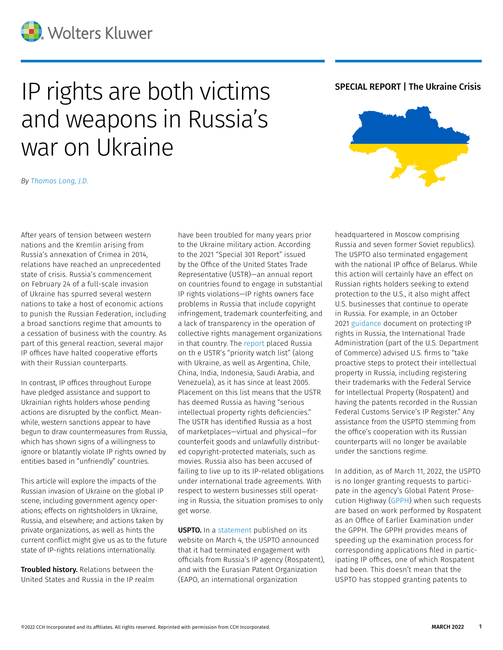

## IP rights are both victims **SPECIAL REPORT | The Ukraine Crisis** and weapons in Russia's war on Ukraine

*By [Thomas Long, J.D.](https://www.linkedin.com/in/thomas-long-49745487/)*

After years of tension between western nations and the Kremlin arising from Russia's annexation of Crimea in 2014, relations have reached an unprecedented state of crisis. Russia's commencement on February 24 of a full-scale invasion of Ukraine has spurred several western nations to take a host of economic actions to punish the Russian Federation, including a broad sanctions regime that amounts to a cessation of business with the country. As part of this general reaction, several major IP offices have halted cooperative efforts with their Russian counterparts.

In contrast, IP offices throughout Europe have pledged assistance and support to Ukrainian rights holders whose pending actions are disrupted by the conflict. Meanwhile, western sanctions appear to have begun to draw countermeasures from Russia, which has shown signs of a willingness to ignore or blatantly violate IP rights owned by entities based in "unfriendly" countries.

This article will explore the impacts of the Russian invasion of Ukraine on the global IP scene, including government agency operations; effects on rightsholders in Ukraine, Russia, and elsewhere; and actions taken by private organizations, as well as hints the current conflict might give us as to the future state of IP-rights relations internationally.

**Troubled history.** Relations between the United States and Russia in the IP realm have been troubled for many years prior to the Ukraine military action. According to the 2021 "Special 301 Report" issued by the Office of the United States Trade Representative (USTR)—an annual report on countries found to engage in substantial IP rights violations—IP rights owners face problems in Russia that include copyright infringement, trademark counterfeiting, and a lack of transparency in the operation of collective rights management organizations in that country. The [report](https://ustr.gov/sites/default/files/files/reports/2021/2021%20Special%20301%20Report%20(final).pdf) placed Russia on th e USTR's "priority watch list" (along with Ukraine, as well as Argentina, Chile, China, India, Indonesia, Saudi Arabia, and Venezuela), as it has since at least 2005. Placement on this list means that the USTR has deemed Russia as having "serious intellectual property rights deficiencies." The USTR has identified Russia as a host of marketplaces—virtual and physical—for counterfeit goods and unlawfully distributed copyright-protected materials, such as movies. Russia also has been accused of failing to live up to its IP-related obligations under international trade agreements. With respect to western businesses still operating in Russia, the situation promises to only get worse.

**USPTO.** In a [statement](https://www.uspto.gov/about-us/news-updates/uspto-statement-engagement-russia-and-eurasian-patent-organization) published on its website on March 4, the USPTO announced that it had terminated engagement with officials from Russia's IP agency (Rospatent), and with the Eurasian Patent Organization (EAPO, an international organization



headquartered in Moscow comprising Russia and seven former Soviet republics). The USPTO also terminated engagement with the national IP office of Belarus. While this action will certainly have an effect on Russian rights holders seeking to extend protection to the U.S., it also might affect U.S. businesses that continue to operate in Russia. For example, in an October 2021 [guidance](https://www.trade.gov/country-commercial-guides/russia-protecting-intellectual-property) document on protecting IP rights in Russia, the International Trade Administration (part of the U.S. Department of Commerce) advised U.S. firms to "take proactive steps to protect their intellectual property in Russia, including registering their trademarks with the Federal Service for Intellectual Property (Rospatent) and having the patents recorded in the Russian Federal Customs Service's IP Register." Any assistance from the USPTO stemming from the office's cooperation with its Russian counterparts will no longer be available under the sanctions regime.

In addition, as of March 11, 2022, the USPTO is no longer granting requests to participate in the agency's Global Patent Prosecution Highway ([GPPH](https://www.uspto.gov/patents/basics/international-protection/patent-prosecution-highway-pph-fast-track)) when such requests are based on work performed by Rospatent as an Office of Earlier Examination under the GPPH. The GPPH provides means of speeding up the examination process for corresponding applications filed in participating IP offices, one of which Rospatent had been. This doesn't mean that the USPTO has stopped granting patents to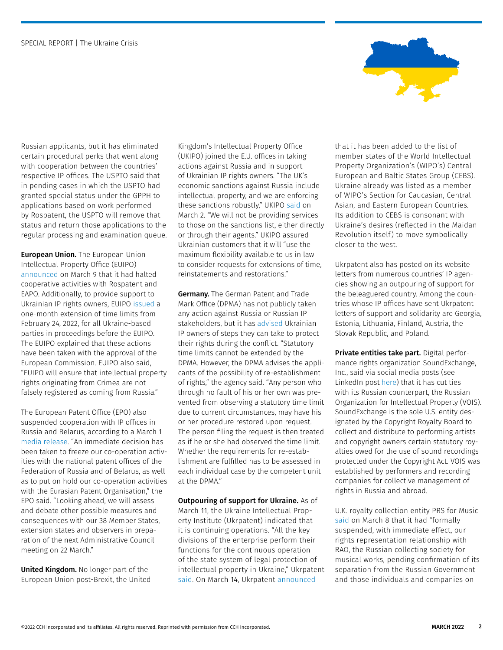

Russian applicants, but it has eliminated certain procedural perks that went along with cooperation between the countries' respective IP offices. The USPTO said that in pending cases in which the USPTO had granted special status under the GPPH to applications based on work performed by Rospatent, the USPTO will remove that status and return those applications to the regular processing and examination queue.

**European Union.** The European Union Intellectual Property Office (EUIPO) [announced](https://euipo.europa.eu/ohimportal/en/news/-/action/view/9237969) on March 9 that it had halted cooperative activities with Rospatent and EAPO. Additionally, to provide support to Ukrainian IP rights owners, EUIPO [issued](https://euipo.europa.eu/tunnel-web/secure/webdav/guest/document_library/contentPdfs/law_and_practice/decisions_president/EX-22-02_en.pdf) a one-month extension of time limits from February 24, 2022, for all Ukraine-based parties in proceedings before the EUIPO. The EUIPO explained that these actions have been taken with the approval of the European Commission. EUIPO also said, "EUIPO will ensure that intellectual property rights originating from Crimea are not falsely registered as coming from Russia."

The European Patent Office (EPO) also suspended cooperation with IP offices in Russia and Belarus, according to a March 1 [media release](https://www.epo.org/news-events/news/2022/20220301a.html). "An immediate decision has been taken to freeze our co-operation activities with the national patent offices of the Federation of Russia and of Belarus, as well as to put on hold our co-operation activities with the Eurasian Patent Organisation," the EPO said. "Looking ahead, we will assess and debate other possible measures and consequences with our 38 Member States, extension states and observers in preparation of the next Administrative Council meeting on 22 March."

United Kingdom. No longer part of the European Union post-Brexit, the United Kingdom's Intellectual Property Office (UKIPO) joined the E.U. offices in taking actions against Russia and in support of Ukrainian IP rights owners. "The UK's economic sanctions against Russia include intellectual property, and we are enforcing these sanctions robustly," UKIPO [said](https://www.gov.uk/government/news/ipo-statement-on-ukraine) on March 2. "We will not be providing services to those on the sanctions list, either directly or through their agents." UKIPO assured Ukrainian customers that it will "use the maximum flexibility available to us in law to consider requests for extensions of time, reinstatements and restorations."

Germany. The German Patent and Trade Mark Office (DPMA) has not publicly taken any action against Russia or Russian IP stakeholders, but it has [advised U](https://www.dpma.de/english/our_office/publications/important_notices/notice_08032022/index.html)krainian IP owners of steps they can take to protect their rights during the conflict. "Statutory time limits cannot be extended by the DPMA. However, the DPMA advises the applicants of the possibility of re-establishment of rights," the agency said. "Any person who through no fault of his or her own was prevented from observing a statutory time limit due to current circumstances, may have his or her procedure restored upon request. The person filing the request is then treated as if he or she had observed the time limit. Whether the requirements for re-establishment are fulfilled has to be assessed in each individual case by the competent unit at the DPMA."

Outpouring of support for Ukraine. As of March 11, the Ukraine Intellectual Property Institute (Ukrpatent) indicated that it is continuing operations. "All the key divisions of the enterprise perform their functions for the continuous operation of the state system of legal protection of intellectual property in Ukraine," Ukrpatent [said.](https://ukrpatent.org/en/news/main/ukrpatent-budni-11032022--) On March 14, Ukrpatent [announced](https://ukrpatent.org/en/news/main/wipo-ukraine-15032022)

that it has been added to the list of member states of the World Intellectual Property Organization's (WIPO's) Central European and Baltic States Group (CEBS). Ukraine already was listed as a member of WIPO's Section for Caucasian, Central Asian, and Eastern European Countries. Its addition to CEBS is consonant with Ukraine's desires (reflected in the Maidan Revolution itself) to move symbolically closer to the west.

Ukrpatent also has posted on its website letters from numerous countries' IP agencies showing an outpouring of support for the beleaguered country. Among the countries whose IP offices have sent Ukrpatent letters of support and solidarity are Georgia, Estonia, Lithuania, Finland, Austria, the Slovak Republic, and Poland.

Private entities take part. Digital performance rights organization SoundExchange, Inc., said via social media posts (see LinkedIn post [here\)](https://www.linkedin.com/posts/soundexchange_with-the-horrific-and-unjust-events-occurring-activity-6908077087064997888--UFh?utm_source=linkedin_share&utm_medium=member_desktop_web) that it has cut ties with its Russian counterpart, the Russian Organization for Intellectual Property (VOIS). SoundExchange is the sole U.S. entity designated by the Copyright Royalty Board to collect and distribute to performing artists and copyright owners certain statutory royalties owed for the use of sound recordings protected under the Copyright Act. VOIS was established by performers and recording companies for collective management of rights in Russia and abroad.

U.K. royalty collection entity PRS for Music [said](https://www.prsformusic.com/press/2022/statement-on-russia-and-ukraine) on March 8 that it had "formally suspended, with immediate effect, our rights representation relationship with RAO, the Russian collecting society for musical works, pending confirmation of its separation from the Russian Government and those individuals and companies on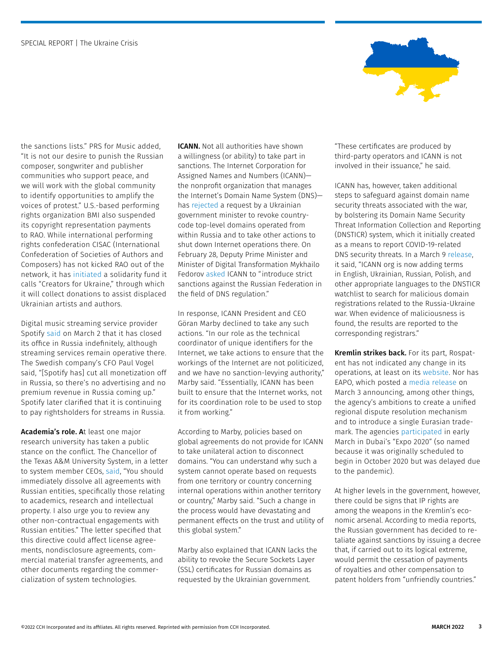

the sanctions lists." PRS for Music added, "It is not our desire to punish the Russian composer, songwriter and publisher communities who support peace, and we will work with the global community to identify opportunities to amplify the voices of protest." U.S.-based performing rights organization BMI also suspended its copyright representation payments to RAO. While international performing rights confederation CISAC (International Confederation of Societies of Authors and Composers) has not kicked RAO out of the network, it has [initiated](https://www.cisac.org/Newsroom/news-releases/cisac-solidarity-fund-ukraine) a solidarity fund it calls "Creators for Ukraine," through which it will collect donations to assist displaced Ukrainian artists and authors.

Digital music streaming service provider Spotify [said](https://newsroom.spotify.com/2022-03-02/spotifys-statement-in-response-to-the-war-in-ukraine/) on March 2 that it has closed its office in Russia indefinitely, although streaming services remain operative there. The Swedish company's CFO Paul Vogel said, "[Spotify has] cut all monetization off in Russia, so there's no advertising and no premium revenue in Russia coming up." Spotify later clarified that it is continuing to pay rightsholders for streams in Russia.

Academia's role. At least one major research university has taken a public stance on the conflict. The Chancellor of the Texas A&M University System, in a letter to system member CEOs, [said,](https://business.cch.com/ipld/03-09-2022-Russia-memo.pdf) "You should immediately dissolve all agreements with Russian entities, specifically those relating to academics, research and intellectual property. I also urge you to review any other non-contractual engagements with Russian entities." The letter specified that this directive could affect license agreements, nondisclosure agreements, commercial material transfer agreements, and other documents regarding the commercialization of system technologies.

ICANN. Not all authorities have shown a willingness (or ability) to take part in sanctions. The Internet Corporation for Assigned Names and Numbers (ICANN) the nonprofit organization that manages the Internet's Domain Name System (DNS) has [rejected](https://www.icann.org/en/system/files/correspondence/marby-to-fedorov-02mar22-en.pdf) a request by a Ukrainian government minister to revoke countrycode top-level domains operated from within Russia and to take other actions to shut down Internet operations there. On February 28, Deputy Prime Minister and Minister of Digital Transformation Mykhailo Fedorov [asked](https://eump.org/media/2022/Goran-Marby.pdf) ICANN to "introduce strict sanctions against the Russian Federation in the field of DNS regulation."

In response, ICANN President and CEO Göran Marby declined to take any such actions. "In our role as the technical coordinator of unique identifiers for the Internet, we take actions to ensure that the workings of the Internet are not politicized, and we have no sanction-levying authority," Marby said. "Essentially, ICANN has been built to ensure that the Internet works, not for its coordination role to be used to stop it from working."

According to Marby, policies based on global agreements do not provide for ICANN to take unilateral action to disconnect domains. "You can understand why such a system cannot operate based on requests from one territory or country concerning internal operations within another territory or country," Marby said. "Such a change in the process would have devastating and permanent effects on the trust and utility of this global system."

Marby also explained that ICANN lacks the ability to revoke the Secure Sockets Layer (SSL) certificates for Russian domains as requested by the Ukrainian government.

"These certificates are produced by third-party operators and ICANN is not involved in their issuance," he said.

ICANN has, however, taken additional steps to safeguard against domain name security threats associated with the war, by bolstering its Domain Name Security Threat Information Collection and Reporting (DNSTICR) system, which it initially created as a means to report COVID-19-related DNS security threats. In a March 9 [release,](https://www.icann.org/en/announcements/details/icann-expands-dnsticr-to-monitor-terms-related-to-russia-ukraine-war-09-03-2022-en) it said, "ICANN org is now adding terms in English, Ukrainian, Russian, Polish, and other appropriate languages to the DNSTICR watchlist to search for malicious domain registrations related to the Russia-Ukraine war. When evidence of maliciousness is found, the results are reported to the corresponding registrars."

Kremlin strikes back. For its part, Rospatent has not indicated any change in its operations, at least on its [website](https://rospatent.gov.ru/en/news). Nor has EAPO, which posted a [media release](https://www.eapo.org/en/index.php?newspress=view&d=1239) on March 3 announcing, among other things, the agency's ambitions to create a unified regional dispute resolution mechanism and to introduce a single Eurasian trademark. The agencies [participated](https://rospatent.gov.ru/en/activities/scientific_conferences/expo-2020-dubai) in early March in Dubai's "Expo 2020" (so named because it was originally scheduled to begin in October 2020 but was delayed due to the pandemic).

At higher levels in the government, however, there could be signs that IP rights are among the weapons in the Kremlin's economic arsenal. According to media reports, the Russian government has decided to retaliate against sanctions by issuing a decree that, if carried out to its logical extreme, would permit the cessation of payments of royalties and other compensation to patent holders from "unfriendly countries."